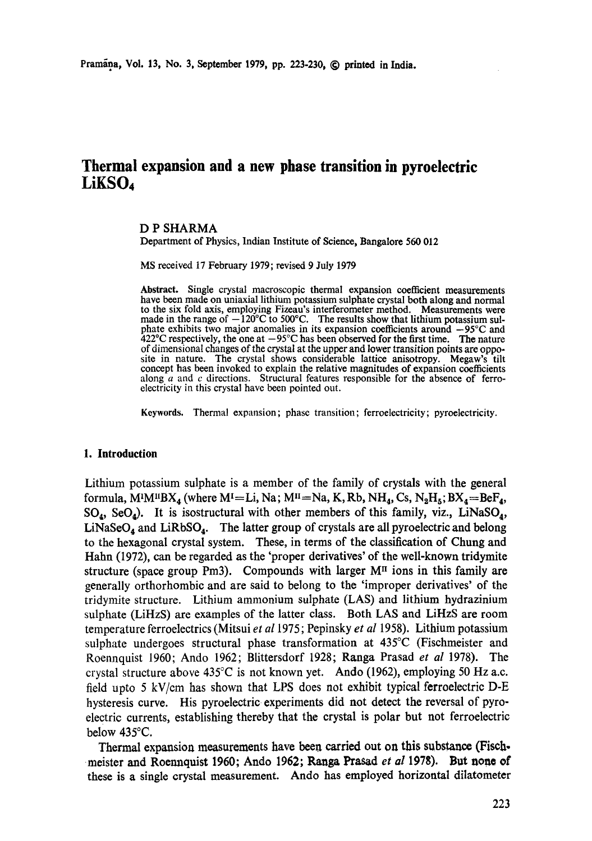# **Thermal expansion and a new phase transition in pyroelectric LiKSO4**

## D P SHARMA

Department of Physics, Indian Institute of Science, Bangalore 560 012

MS received 17 February 1979; revised 9 July 1979

**Abstract.** Single crystal macroscopic thermal expansion coefficient measurements have been made on uniaxial lithium potassium sulphate crystal both along and normal to the six fold axis, employing Fizeau's interferometer method. Measurements were made in the range of  $-120^{\circ}$ C to 500°C. The results show that lithium potassium sulphate exhibits two major anomalies in its expansion coefficients around  $-95^{\circ}$ C and  $422^{\circ}$ C respectively, the one at  $-95^{\circ}$ C has been observed for the first time. The nature of dimensional changes of the crystal at the upper and lower transition points are opposite in nature. The crystal shows considerable lattice anisotropy. Megaw's tilt concept has been invoked to explain the relative magnitudes of expansion coefficients along  $a$  and  $c$  directions. Structural features responsible for the absence of ferroelectricity in this crystal have been pointed out.

Keywords. Thermal expansion; phase transition; ferroelectricity; pyroelectricity.

#### **I. Introduction**

Lithium potassium sulphate is a member of the family of crystals with the general formula, M<sup>1</sup>M<sup>u</sup>BX<sub>4</sub> (where M<sup>1</sup>=Li, Na; M<sup>11</sup>=Na, K, Rb, NH<sub>4</sub>, Cs, N<sub>2</sub>H<sub>5</sub>; BX<sub>4</sub>=BeF<sub>4</sub>,  $SO_4$ , SeO<sub>4</sub>). It is isostructural with other members of this family, viz., LiNaSO<sub>4</sub>,  $LiNaSeO<sub>4</sub>$  and  $LiRbSO<sub>4</sub>$ . The latter group of crystals are all pyroelectric and belong to the hexagonal crystal system. These, in terms of the classification of Chung and Hahn (1972), can be regarded as the 'proper derivatives' of the well-known tridymite structure (space group Pm3). Compounds with larger  $M<sup>\pi</sup>$  ions in this family are generally orthorhombic and are said to belong to the 'improper derivatives' of the tridymite structure. Lithium ammonium sulphate (LAS) and lithium hydrazinium sulphate (LiHzS) are examples of the latter class. Both LAS and LiHzS are room temperature ferroelectrics (Mitsui *et a11975;* Pepinsky *et al* 1958). Lithium potassium sulphate undergoes structural phase transformation at 435°C (Fischmeister and Roennquist 1960; Ando 1962; Blittersdorf 1928; Ranga Prasad *et al* 1978). The crystal structure above 435°C is not known yet. Ando (1962), employing 50 Hz a.c. field upto 5 kV/cm has shown that LPS does not exhibit typical ferroelectric D-E hysteresis curve. His pyroelectric experiments did not detect the reversal of pyroelectric currents, establishing thereby that the crystal is polar but not ferroelectric below 435°C.

Thermal expansion measurements have beea carried out on this substance (Fiseh, meister and Roennquist 1960; Ando 1962; Pamga Ptasad *et al* 1978). But none of these is a single crystal measurement. Ando has employed horizontal dilatometer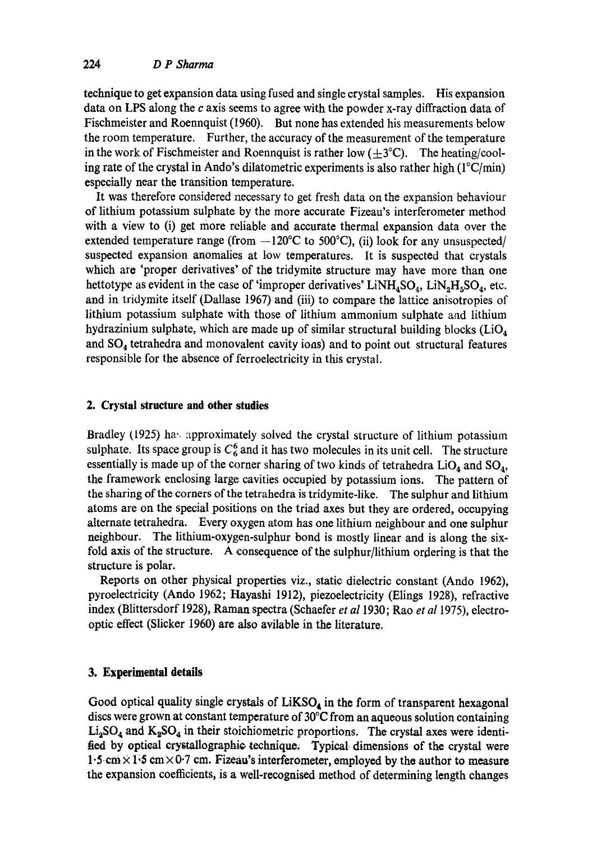technique to get expansion data using fused and single crystal samples. His expansion data on LPS along the  $c$  axis seems to agree with the powder x-ray diffraction data of Fischmeister and Roennquist (1960). But none has extended his measurements below the room temperature. Further, the accuracy of the measurement of the temperature in the work of Fischmeister and Roennquist is rather low  $(\pm 3^{\circ}C)$ . The heating/cooling rate of the crystal in Ando's dilatometric experiments is also rather high  $(1^{\circ}C/\text{min})$ especially near the transition temperature.

It was therefore considered necessary to get fresh data on the expansion behaviour of lithium potassium sulphate by the more accurate Fizeau's interferometer method with a view to (i) get more reliable and accurate thermal expansion data over the extended temperature range (from  $-120^{\circ}$ C to 500°C), (ii) look for any unsuspected/ suspected expansion anomalies at low temperatures. It is suspected that crystals which are 'proper derivatives' of the tridymite structure may have more than one hettotype as evident in the case of 'improper derivatives'  $LiNH<sub>4</sub>SO<sub>4</sub>$ ,  $LiN<sub>2</sub>H<sub>5</sub>SO<sub>4</sub>$ , etc. and in tridymite itself (Dallase 1967) and (iii) to compare the lattice anisotropies of lithium potassium sulphate with those of lithium ammonium sulphate and lithium hydrazinium sulphate, which are made up of similar structural building blocks  $(LiO<sub>4</sub>)$ and SO4 tetrahedra and monovalent cavity ions) and to point out structural features responsible for the absence of ferroelectricity in this crystal.

## **2. Crystal structure and other studies**

Bradley (1925) has approximately solved the crystal structure of lithium potassium sulphate. Its space group is  $C_6^6$  and it has two molecules in its unit cell. The structure essentially is made up of the corner sharing of two kinds of tetrahedra  $LiO<sub>4</sub>$  and  $SO<sub>4</sub>$ , the framework enclosing large cavities occupied by potassium ions. The pattern of the sharing of the corners of the tetrahedra is tridymite-like. The sulphur and lithium atoms are on the special positions on the triad axes but they are ordered, occupying alternate tetrahedra. Every oxygen atom has one lithium neighbour and one sulphur neighbour. The lithium-oxygen-sulphur bond is mostly linear and is along the sixfold axis of the structure. A consequence of the sulphur/lithium ordering is that the structure is polar.

Reports on other physical properties viz., static dielectric constant (Ando 1962), pyroelectricity (Ando 1962; Hayashi 1912), piezoelectricity (Elings 1928), refractive index (Blittersdorf 1928), Raman spectra (Schaefer *et a11930;* Rao *et al* 1975), electrooptic effect (Slicker 1960) are also avilable in the literature.

## **3. Experimental details**

Good optical quality single crystals of  $LiKSO<sub>4</sub>$  in the form of transparent hexagonal discs were grown at constant temperature of 30°C from an aqueous solution containing  $Li<sub>2</sub>SO<sub>4</sub>$  and  $K<sub>2</sub>SO<sub>4</sub>$  in their stoichiometric proportions. The crystal axes were identified by optical crystallographic technique. Typical dimensions of the crystal were 1.5cm × 1;5 cm× 0.7 cm. Fizeau's interferometer, employed by the author to **measure**  the expansion coefficients, is a well-recognised method of determining length changes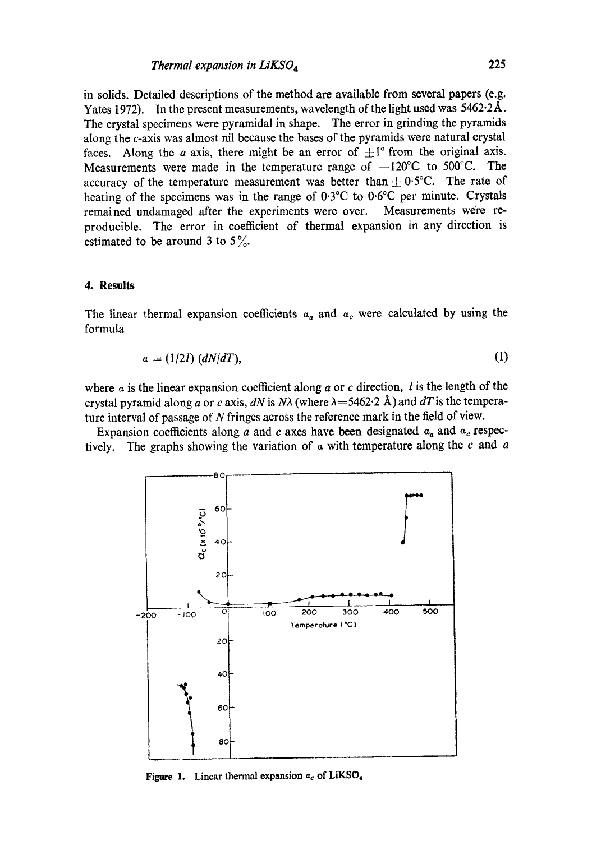in solids. Detailed descriptions of the method are available from several papers (e.g. Yates 1972). In the present measurements, wavelength of the light used was 5462.2A. The crystal specimens were pyramidal in shape. The error in grinding the pyramids along the c-axis was almost nil because the bases of the pyramids were natural crystal faces. Along the *a* axis, there might be an error of  $\pm 1^\circ$  from the original axis. Measurements were made in the temperature range of  $-120^{\circ}$ C to 500 $^{\circ}$ C. The accuracy of the temperature measurement was better than  $\pm$  0.5°C. The rate of heating of the specimens was in the range of 0.3°C to 0.6°C per minute. Crystals remained undamaged after the experiments were over. Measurements were reproducible. The error in coefficient of thermal expansion in any direction is estimated to be around 3 to  $5\%$ .

## **4. Results**

The linear thermal expansion coefficients  $a_a$  and  $a_c$  were calculated by using the formula

$$
\alpha = (1/2I) (dN/dT), \qquad (1)
$$

where  $\alpha$  is the linear expansion coefficient along  $\alpha$  or  $c$  direction,  $l$  is the length of the crystal pyramid along a or c axis,  $dN$  is  $N\lambda$  (where  $\lambda = 5462.2$  Å) and  $dT$  is the temperature interval of passage of N fringes across the reference mark in the field of view.

Expansion coefficients along a and c axes have been designated  $a_a$  and  $a_c$  respectively. The graphs showing the variation of  $\alpha$  with temperature along the  $c$  and  $\alpha$ 



**Figure 1.** Linear thermal expansion  $a_c$  of LiKSO<sub>4</sub>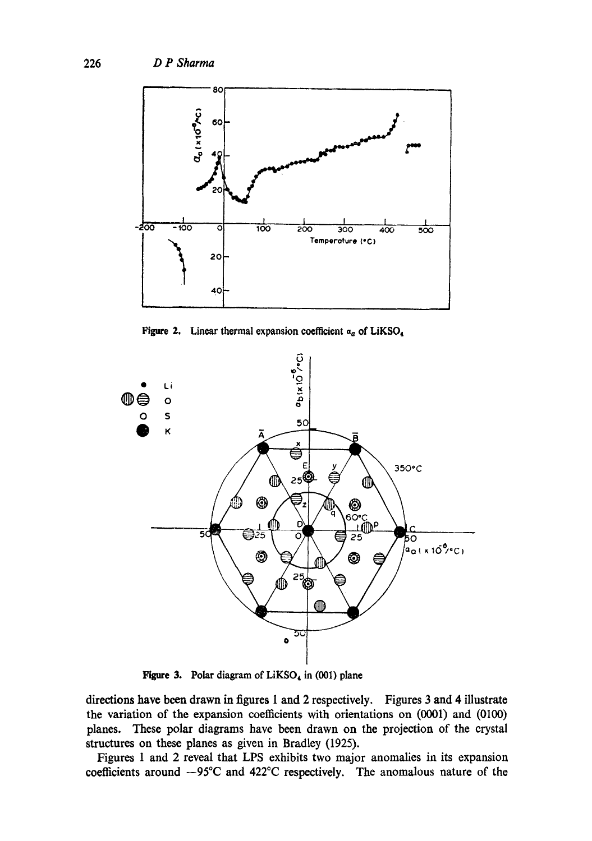

Figure 2. Linear thermal expansion coefficient  $a_a$  of LiKSO<sub>4</sub>



Figure 3. Polar diagram of  $LiKSO<sub>4</sub>$  in (001) plane

directions have been drawn in figures 1 and 2 respectively. Figures 3 and 4 illustrate the variation of the expansion coefficients with orientations on (0001) and (0100) planes. These polar diagrams have been drawn on the projection of the crystal structures on these planes as given in Bradley (1925).

Figures I and 2 reveal that LPS exhibits two major anomalies in its expansion coefficients around  $-95^{\circ}\text{C}$  and 422 $^{\circ}\text{C}$  respectively. The anomalous nature of the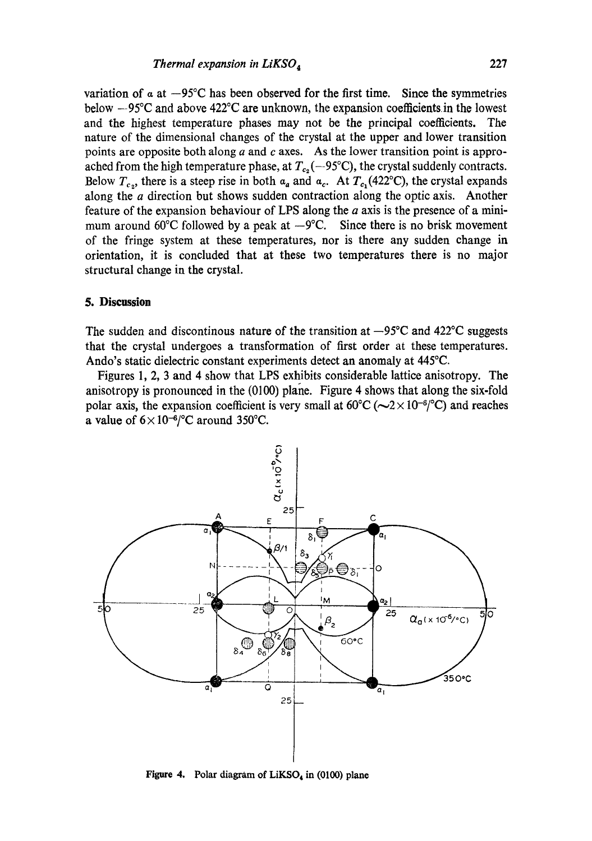variation of  $\alpha$  at  $-95^{\circ}$ C has been observed for the first time. Since the symmetries below  $-95^{\circ}\text{C}$  and above  $422^{\circ}\text{C}$  are unknown, the expansion coefficients in the lowest and the highest temperature phases may not be the principal coefficients. The nature of the dimensional changes of the crystal at the upper and lower transition points are opposite both along  $a$  and  $c$  axes. As the lower transition point is approached from the high temperature phase, at  $T_{c_2}$  (--95°C), the crystal suddenly contracts. Below  $T_{c_2}$ , there is a steep rise in both  $a_a$  and  $a_c$ . At  $T_{c_1}(422^{\circ}\text{C})$ , the crystal expands along the *a* direction but shows sudden contraction along the optic axis. Another feature of the expansion behaviour of LPS along the  $a$  axis is the presence of a minimum around 60 $\degree$ C followed by a peak at  $-9\degree$ C. Since there is no brisk movement of the fringe system at these temperatures, nor is there any sudden change in orientation, it is concluded that at these two temperatures there is no major structural change in the crystal.

### **5. Discussion**

The sudden and discontinous nature of the transition at  $-95^{\circ}$ C and 422 $^{\circ}$ C suggests that the crystal undergoes a transformation of first order at these temperatures. Ando's static dielectric constant experiments detect an anomaly at 445°C.

Figures 1, 2, 3 and 4 show that LPS exhibits considerable lattice anisotropy. The anisotropy is pronounced in the (0100) plane. Figure 4 shows that along the six-fold polar axis, the expansion coefficient is very small at  $60^{\circ}C (\sim 2 \times 10^{-6}$  (°C) and reaches a value of  $6 \times 10^{-6}$  /°C around 350°C.



Figure 4. Polar diagram of  $LiKSO<sub>4</sub>$  in (0100) plane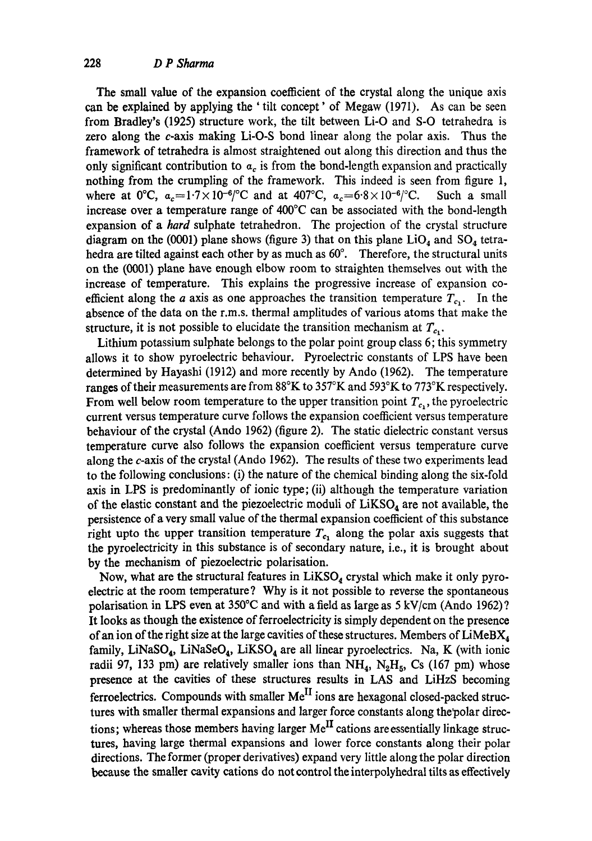The small value of the expansion coefficient of the crystal along the unique axis can be explained by applying the ' tilt concept' of Megaw (1971). As can be seen from Bradley's (1925) structure work, the tilt between Li-O and S-O tetrahedra is zero along the c-axis making Li-O-S bond linear along the polar axis. Thus the framework of tetrahedra is almost straightened out along this direction and thus the only significant contribution to  $a_c$  is from the bond-length expansion and practically nothing from the crumpling of the framework. This indeed is seen from figure 1, where at 0°C,  $a_c=1.7\times10^{-6}$  c and at 407°C,  $a_c=6.8\times10^{-6}$  c. Such a small increase over a temperature range of 400°C can be associated with the bond-length expansion of a *hard* sulphate tetrahedron. The projection of the crystal structure diagram on the (0001) plane shows (figure 3) that on this plane  $LiO<sub>4</sub>$  and SO<sub>4</sub> tetrahedra are tilted against each other by as much as 60°. Therefore, the structural units on the (0001) plane have enough elbow room to straighten themselves out with the increase of temperature. This explains the progressive increase of expansion coefficient along the a axis as one approaches the transition temperature  $T_{c_1}$ . In the absence of the data on the r.m.s, thermal amplitudes of various atoms that make the structure, it is not possible to elucidate the transition mechanism at  $T_{c}$ .

Lithium potassium sulphate belongs to the polar point group class 6; this symmetry allows it to show pyroelectric behaviour. Pyroelectric constants of LPS have been determined by Hayashi (1912) and more recently by Ando (1962). The temperature ranges of their measurements are from 88°K to 357°K and 593°K to 773°K respectively. From well below room temperature to the upper transition point  $T_c$ , the pyroelectric current versus temperature curve follows the expansion coefficient versus temperature behaviour of the crystal (Ando 1962) (figure 2). The static dielectric constant versus temperature curve also follows the expansion coefficient versus temperature curve along the c-axis of the crystal (Ando 1962). The results of these two experiments lead to the following conclusions: (i) the nature of the chemical binding along the six-fold axis in LPS is predominantly of ionic type; (ii) although the temperature variation of the elastic constant and the piezoelectric moduli of  $LiKSO<sub>4</sub>$  are not available, the persistence of a very small value of the thermal expansion coefficient of this substance right upto the upper transition temperature  $T_{c_1}$  along the polar axis suggests that the pyroelectricity in this substance is of secondary nature, i.e., it is brought about by the mechanism of piezoelectric polarisation.

Now, what are the structural features in  $LiKSO<sub>4</sub>$  crystal which make it only pyroelectric at the room temperature ? Why is it not possible to reverse the spontaneous polarisation in LPS even at  $350^{\circ}$ C and with a field as large as 5 kV/cm (Ando 1962)? It looks as though the existence of ferroelectricity is simply dependent on the presence of an ion of the right size at the large cavities of these structures. Members of  $\text{LimBX}_4$ family, LiNaSO<sub>4</sub>, LiNaSeO<sub>4</sub>, LiKSO<sub>4</sub> are all linear pyroelectrics. Na, K (with ionic radii 97, 133 pm) are relatively smaller ions than  $NH_4$ ,  $N_2H_5$ , Cs (167 pm) whose presence at the cavities of these structures results in LAS and LiHzS becoming ferroelectrics. Compounds with smaller  $Me^{II}$  ions are hexagonal closed-packed structures with smaller thermal expansions and larger force constants along the polar directions; whereas those members having larger  $Me^{II}$  cations are essentially linkage structures, having large thermal expansions and lower force constants along their polar directions. The former (proper derivatives) expand very little along the polar direction because the smaller cavity cations do not control the interpolyhedral flits as effectively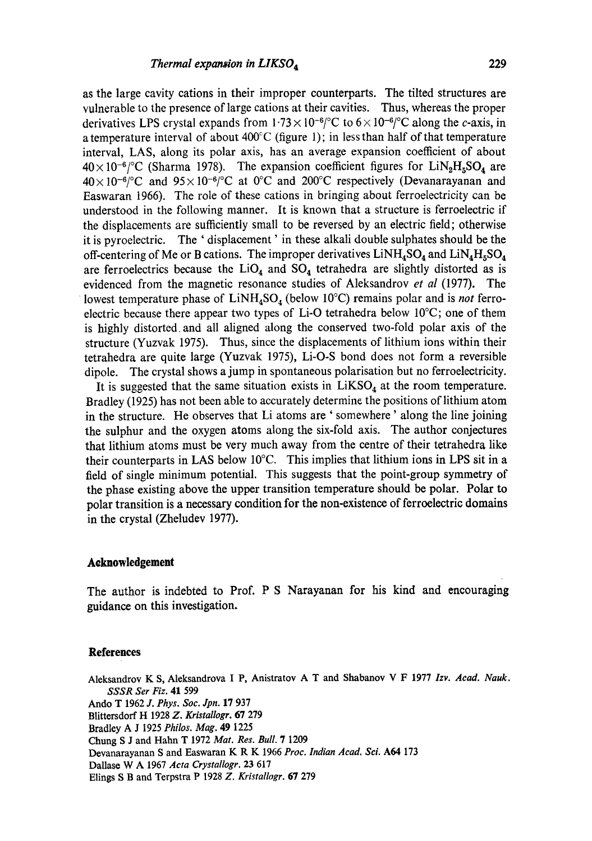as the large cavity cations in their improper counterparts. The tilted structures are vulnerable to the presence of large cations at their cavities. Thus, whereas the proper derivatives LPS crystal expands from  $1.73 \times 10^{-6}$  c to  $6 \times 10^{-6}$  c along the c-axis, in a temperature interval of about  $400^{\circ}$ C (figure 1); in less than half of that temperature interval, LAS, along its polar axis, has an average expansion coefficient of about  $40\times10^{-6}$  (Sharma 1978). The expansion coefficient figures for LiN<sub>2</sub>H<sub>5</sub>SO<sub>4</sub> are  $40\times10^{-6/°}C$  and  $95\times10^{-6/°}C$  at 0°C and 200°C respectively (Devanarayanan and Easwaran t966). The role of these cations in bringing about ferroelectricity can be understood in the following manner. It is known that a structure is ferroelectrie if the displacements are sufficiently small to be reversed by an electric field; otherwise it is pyroelectric. The ' displacement' in these alkali double sulphates should be the off-centering of Me or B cations. The improper derivatives  $LiNH<sub>4</sub>SO<sub>4</sub>$  and  $LiNH<sub>4</sub>SO<sub>4</sub>$ are ferroelectrics because the  $LiO<sub>4</sub>$  and  $SO<sub>4</sub>$  tetrahedra are slightly distorted as is evidenced from the magnetic resonance studies of Aleksandrov *et al* (1977). The lowest temperature phase of  $LiNH<sub>4</sub>SO<sub>4</sub>$  (below 10<sup>o</sup>C) remains polar and is *not* ferroelectric because there appear two types of Li-O tetrahedra below 10°C; one of them is highly distorted, and all aligned along the conserved two-fold polar axis of the structure (Yuzvak 1975). Thus, since the displacements of lithium ions within their tetrahedra are quite large (Yuzvak 1975), Li-O-S bond does not form a reversible dipole. The crystal shows a jump in spontaneous polarisation but no ferroelectricity.

It is suggested that the same situation exists in  $LiKSO<sub>4</sub>$  at the room temperature. Bradley (1925) has not been able to accurately determine the positions of lithium atom in the structure. He observes that Li atoms are ' somewhere' along the line joining the sulphur and the oxygen atoms along the six-fold axis. The author conjectures that lithium atoms must be very much away from the centre of their tetrahedra like their counterparts in LAS below 10°C. This implies that lithium ions in LPS sit in a field of single minimum potential. This suggests that the point-group symmetry of the phase existing above the upper transition temperature should be polar. Polar to polar transition is a necessary condition for the non-existence of ferroelectric domains in the crystal (Zheludev 1977).

### **Acknowledgement**

The author is indebted to Prof. P S Narayanan for his kind and encouraging guidance on this investigation.

#### **References**

Aleksandrov K S, Aleksandrova I P, Anistratov A T and Shabanov V F 1977 *Izv. Acad. Nauk. SSSR Set Fiz.* 41 599 Ando T 1962 *J. Phys. Soc. Jpn.* 17 937 Blittersdoff H 1928 *Z. Kristallogr.* 67 279 Bradley A J 1925 *Philos. Mag.* 49 1225 Chung S J and Hahn T 1972 *Mat. Res. Bull.* 7 1209 Devanarayanan S and Easwaran K R K 1966 *Proc. Indian Acad. Sci. A64* 173 Dallase W A 1967 *Acta Crystallogr.* 23 617 Elings S B and Terpstra P 1928 *Z. Kristallogr.* 67 279